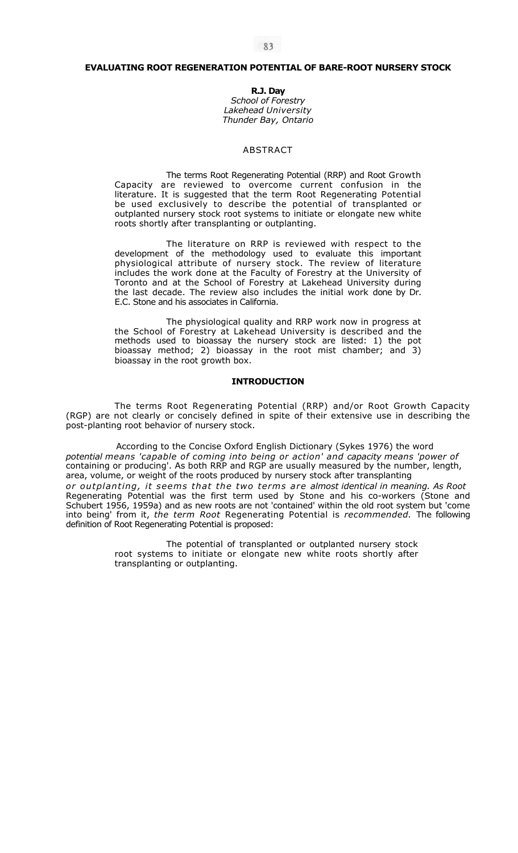# **EVALUATING ROOT REGENERATION POTENTIAL OF BARE-ROOT NURSERY STOCK**

**R.J. Day**  *School of Forestry Lakehead University Thunder Bay, Ontario* 

### ABSTRACT

The terms Root Regenerating Potential (RRP) and Root Growth Capacity are reviewed to overcome current confusion in the literature. It is suggested that the term Root Regenerating Potential be used exclusively to describe the potential of transplanted or outplanted nursery stock root systems to initiate or elongate new white roots shortly after transplanting or outplanting.

The literature on RRP is reviewed with respect to the development of the methodology used to evaluate this important physiological attribute of nursery stock. The review of literature includes the work done at the Faculty of Forestry at the University of Toronto and at the School of Forestry at Lakehead University during the last decade. The review also includes the initial work done by Dr. E.C. Stone and his associates in California.

The physiological quality and RRP work now in progress at the School of Forestry at Lakehead University is described and the methods used to bioassay the nursery stock are listed: 1) the pot bioassay method; 2) bioassay in the root mist chamber; and 3) bioassay in the root growth box.

### **INTRODUCTION**

The terms Root Regenerating Potential (RRP) and/or Root Growth Capacity (RGP) are not clearly or concisely defined in spite of their extensive use in describing the post-planting root behavior of nursery stock.

According to the Concise Oxford English Dictionary (Sykes 1976) the word *potential means 'capable of coming into being or action' and capacity means 'power of*  containing or producing'. As both RRP and RGP are usually measured by the number, length, area, volume, or weight of the roots produced by nursery stock after transplanting *or outplanting , i t seems that the two terms are almost identical in meaning. As Root*  Regenerating Potential was the first term used by Stone and his co-workers (Stone and Schubert 1956, 1959a) and as new roots are not 'contained' within the old root system but 'come into being' from it, *the term Root* Regenerating Potential is *recommended.* The following definition of Root Regenerating Potential is proposed:

> The potential of transplanted or outplanted nursery stock root systems to initiate or elongate new white roots shortly after transplanting or outplanting.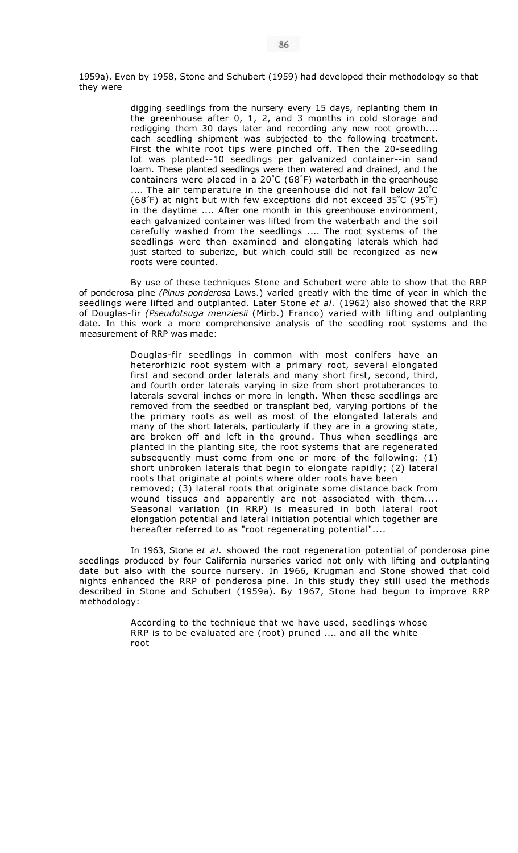1959a). Even by 1958, Stone and Schubert (1959) had developed their methodology so that they were

> digging seedlings from the nursery every 15 days, replanting them in the greenhouse after 0, 1, 2, and 3 months in cold storage and redigging them 30 days later and recording any new root growth.... each seedling shipment was subjected to the following treatment. First the white root tips were pinched off. Then the 20-seedling lot was planted--10 seedlings per galvanized container--in sand loam. These planted seedlings were then watered and drained, and the containers were placed in a 20° C (68° F) waterbath in the greenhouse .... The air temperature in the greenhouse did not fall below 20° C (68° F) at night but with few exceptions did not exceed 35° C (95° F) in the daytime .... After one month in this greenhouse environment, each galvanized container was lifted from the waterbath and the soil carefully washed from the seedlings .... The root systems of the seedlings were then examined and elongating laterals which had just started to suberize, but which could still be recongized as new roots were counted.

By use of these techniques Stone and Schubert were able to show that the RRP of ponderosa pine *(Pinus ponderosa* Laws.) varied greatly with the time of year in which the seedlings were lifted and outplanted. Later Stone *et al.* (1962) also showed that the RRP of Douglas-fir *(Pseudotsuga menziesii* (Mirb.) Franco) varied with lifting and outplanting date. In this work a more comprehensive analysis of the seedling root systems and the measurement of RRP was made:

> Douglas-fir seedlings in common with most conifers have an heterorhizic root system with a primary root, several elongated first and second order laterals and many short first, second, third, and fourth order laterals varying in size from short protuberances to laterals several inches or more in length. When these seedlings are removed from the seedbed or transplant bed, varying portions of the the primary roots as well as most of the elongated laterals and many of the short laterals, particularly if they are in a growing state, are broken off and left in the ground. Thus when seedlings are planted in the planting site, the root systems that are regenerated subsequently must come from one or more of the following: (1) short unbroken laterals that begin to elongate rapidly; (2) lateral roots that originate at points where older roots have been removed; (3) lateral roots that originate some distance back from wound tissues and apparently are not associated with them.... Seasonal variation (in RRP) is measured in both lateral root elongation potential and lateral initiation potential which together are hereafter referred to as "root regenerating potential"....

In 1963, Stone *et al.* showed the root regeneration potential of ponderosa pine seedlings produced by four California nurseries varied not only with lifting and outplanting date but also with the source nursery. In 1966, Krugman and Stone showed that cold nights enhanced the RRP of ponderosa pine. In this study they still used the methods described in Stone and Schubert (1959a). By 1967, Stone had begun to improve RRP methodology:

> According to the technique that we have used, seedlings whose RRP is to be evaluated are (root) pruned .... and all the white root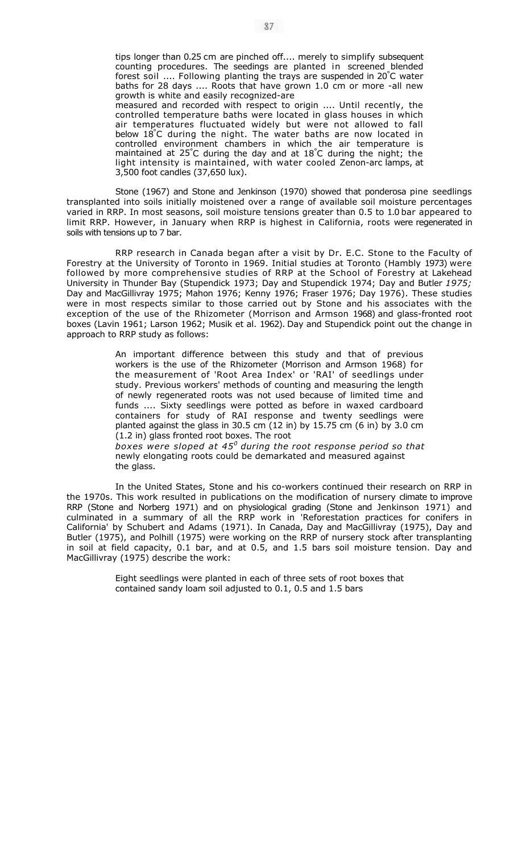tips longer than 0.25 cm are pinched off.... merely to simplify subsequent counting procedures. The seedings are planted in screened blended forest soil .... Following planting the trays are suspended in 20° C water baths for 28 days .... Roots that have grown 1.0 cm or more -all new growth is white and easily recognized-are measured and recorded with respect to origin .... Until recently, the controlled temperature baths were located in glass houses in which air temperatures fluctuated widely but were not allowed to fall below 18° C during the night. The water baths are now located in controlled environment chambers in which the air temperature is maintained at 25° C during the day and at 18° C during the night; the light intensity is maintained, with water cooled Zenon-arc lamps, at 3,500 foot candles (37,650 lux).

Stone (1967) and Stone and Jenkinson (1970) showed that ponderosa pine seedlings transplanted into soils initially moistened over a range of available soil moisture percentages varied in RRP. In most seasons, soil moisture tensions greater than 0.5 to 1.0 bar appeared to limit RRP. However, in January when RRP is highest in California, roots were regenerated in soils with tensions up to 7 bar.

RRP research in Canada began after a visit by Dr. E.C. Stone to the Faculty of Forestry at the University of Toronto in 1969. Initial studies at Toronto (Hambly 1973) were followed by more comprehensive studies of RRP at the School of Forestry at Lakehead University in Thunder Bay (Stupendick 1973; Day and Stupendick 1974; Day and Butler *1975;*  Day and MacGillivray 1975; Mahon 1976; Kenny 1976; Fraser 1976; Day 1976). These studies were in most respects similar to those carried out by Stone and his associates with the exception of the use of the Rhizometer (Morrison and Armson 1968) and glass-fronted root boxes (Lavin 1961; Larson 1962; Musik et al. 1962). Day and Stupendick point out the change in approach to RRP study as follows:

> An important difference between this study and that of previous workers is the use of the Rhizometer (Morrison and Armson 1968) for the measurement of 'Root Area Index' or 'RAI' of seedlings under study. Previous workers' methods of counting and measuring the length of newly regenerated roots was not used because of limited time and funds .... Sixty seedlings were potted as before in waxed cardboard containers for study of RAI response and twenty seedlings were planted against the glass in 30.5 cm (12 in) by 15.75 cm (6 in) by 3.0 cm (1.2 in) glass fronted root boxes. The root *boxes were sloped at 45<sup>0</sup> during the root response period so that*  newly elongating roots could be demarkated and measured against

In the United States, Stone and his co-workers continued their research on RRP in the 1970s. This work resulted in publications on the modification of nursery climate to improve RRP (Stone and Norberg 1971) and on physiological grading (Stone and Jenkinson 1971) and culminated in a summary of all the RRP work in 'Reforestation practices for conifers in California' by Schubert and Adams (1971). In Canada, Day and MacGillivray (1975), Day and Butler (1975), and Polhill (1975) were working on the RRP of nursery stock after transplanting in soil at field capacity, 0.1 bar, and at 0.5, and 1.5 bars soil moisture tension. Day and MacGillivray (1975) describe the work:

the glass.

Eight seedlings were planted in each of three sets of root boxes that contained sandy loam soil adjusted to 0.1, 0.5 and 1.5 bars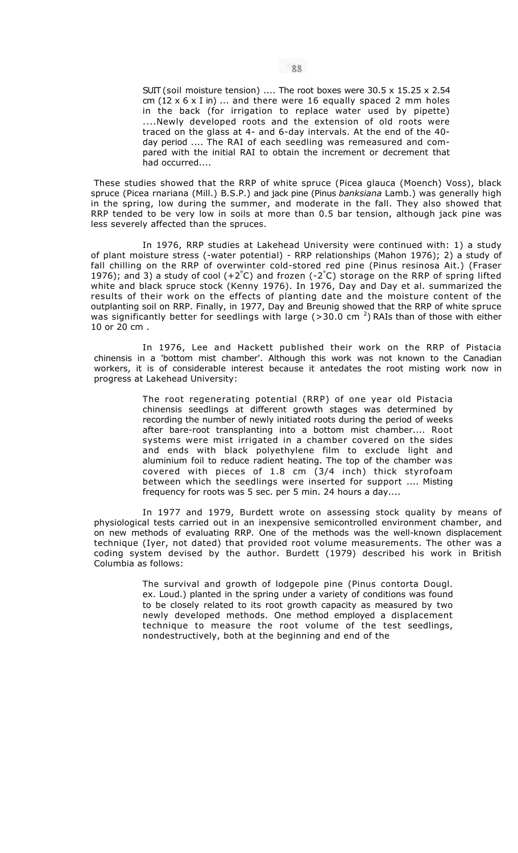SUIT (soil moisture tension) .... The root boxes were 30.5 x 15.25 x 2.54 cm  $(12 \times 6 \times I)$  in) ... and there were 16 equally spaced 2 mm holes in the back (for irrigation to replace water used by pipette) ....Newly developed roots and the extension of old roots were traced on the glass at 4- and 6-day intervals. At the end of the 40 day period .... The RAI of each seedling was remeasured and compared with the initial RAI to obtain the increment or decrement that had occurred....

These studies showed that the RRP of white spruce (Picea glauca (Moench) Voss), black spruce (Picea rnariana (Mill.) B.S.P.) and jack pine (Pinus *banksiana* Lamb.) was generally high in the spring, low during the summer, and moderate in the fall. They also showed that RRP tended to be very low in soils at more than 0.5 bar tension, although jack pine was less severely affected than the spruces.

In 1976, RRP studies at Lakehead University were continued with: 1) a study of plant moisture stress (-water potential) - RRP relationships (Mahon 1976); 2) a study of fall chilling on the RRP of overwinter cold-stored red pine (Pinus resinosa Ait.) (Fraser 1976); and 3) a study of cool  $(+2^{\circ}C)$  and frozen  $(-2^{\circ}C)$  storage on the RRP of spring lifted white and black spruce stock (Kenny 1976). In 1976, Day and Day et al. summarized the results of their work on the effects of planting date and the moisture content of the outplanting soil on RRP. Finally, in 1977, Day and Breunig showed that the RRP of white spruce was significantly better for seedlings with large (>30.0 cm  $^2$ ) RAIs than of those with either 10 or 20 cm .

In 1976, Lee and Hackett published their work on the RRP of Pistacia chinensis in a 'bottom mist chamber'. Although this work was not known to the Canadian workers, it is of considerable interest because it antedates the root misting work now in progress at Lakehead University:

> The root regenerating potential (RRP) of one year old Pistacia chinensis seedlings at different growth stages was determined by recording the number of newly initiated roots during the period of weeks after bare-root transplanting into a bottom mist chamber.... Root systems were mist irrigated in a chamber covered on the sides and ends with black polyethylene film to exclude light and aluminium foil to reduce radient heating. The top of the chamber was covered with pieces of 1.8 cm (3/4 inch) thick styrofoam between which the seedlings were inserted for support .... Misting frequency for roots was 5 sec. per 5 min. 24 hours a day....

In 1977 and 1979, Burdett wrote on assessing stock quality by means of physiological tests carried out in an inexpensive semicontrolled environment chamber, and on new methods of evaluating RRP. One of the methods was the well-known displacement technique (Iyer, not dated) that provided root volume measurements. The other was a coding system devised by the author. Burdett (1979) described his work in British Columbia as follows:

> The survival and growth of lodgepole pine (Pinus contorta Dougl. ex. Loud.) planted in the spring under a variety of conditions was found to be closely related to its root growth capacity as measured by two newly developed methods. One method employed a displacement technique to measure the root volume of the test seedlings, nondestructively, both at the beginning and end of the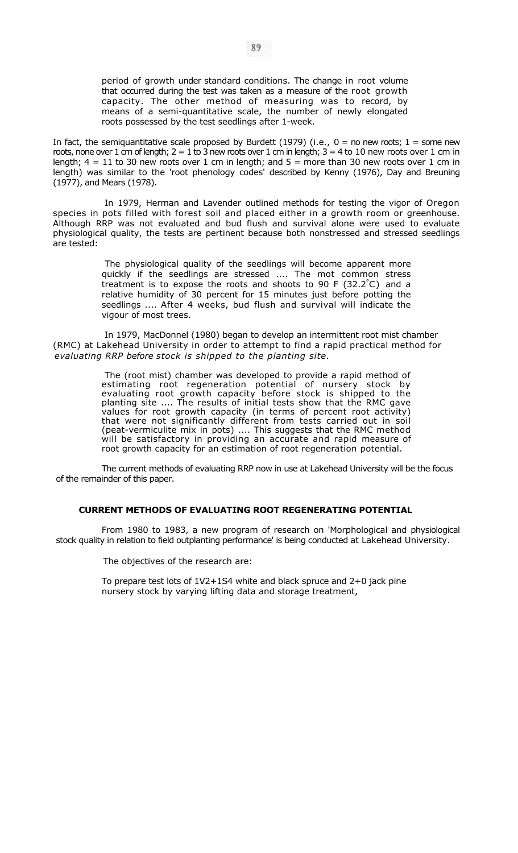period of growth under standard conditions. The change in root volume that occurred during the test was taken as a measure of the root growth capacity. The other method of measuring was to record, by means of a semi-quantitative scale, the number of newly elongated roots possessed by the test seedlings after 1-week.

In fact, the semiquantitative scale proposed by Burdett (1979) (i.e.,  $0 =$  no new roots;  $1 =$  some new roots, none over 1 cm of length;  $2 = 1$  to 3 new roots over 1 cm in length;  $3 = 4$  to 10 new roots over 1 cm in length;  $4 = 11$  to 30 new roots over 1 cm in length; and  $5 =$  more than 30 new roots over 1 cm in length) was similar to the 'root phenology codes' described by Kenny (1976), Day and Breuning (1977), and Mears (1978).

In 1979, Herman and Lavender outlined methods for testing the vigor of Oregon species in pots filled with forest soil and placed either in a growth room or greenhouse. Although RRP was not evaluated and bud flush and survival alone were used to evaluate physiological quality, the tests are pertinent because both nonstressed and stressed seedlings are tested:

> The physiological quality of the seedlings will become apparent more quickly if the seedlings are stressed .... The mot common stress treatment is to expose the roots and shoots to 90 F (32.2° C) and a relative humidity of 30 percent for 15 minutes just before potting the seedlings .... After 4 weeks, bud flush and survival will indicate the vigour of most trees.

In 1979, MacDonnel (1980) began to develop an intermittent root mist chamber (RMC) at Lakehead University in order to attempt to find a rapid practical method for *evaluating RRP before stock is shipped to the planting site.* 

> The (root mist) chamber was developed to provide a rapid method of estimating root regeneration potential of nursery stock by evaluating root growth capacity before stock is shipped to the planting site .... The results of initial tests show that the RMC gave values for root growth capacity (in terms of percent root activity) that were not significantly different from tests carried out in soil (peat-vermiculite mix in pots) .... This suggests that the RMC method will be satisfactory in providing an accurate and rapid measure of root growth capacity for an estimation of root regeneration potential.

The current methods of evaluating RRP now in use at Lakehead University will be the focus of the remainder of this paper.

## **CURRENT METHODS OF EVALUATING ROOT REGENERATING POTENTIAL**

From 1980 to 1983, a new program of research on 'Morphological and physiological stock quality in relation to field outplanting performance' is being conducted at Lakehead University.

The objectives of the research are:

To prepare test lots of 1V2+1S4 white and black spruce and 2+0 jack pine nursery stock by varying lifting data and storage treatment,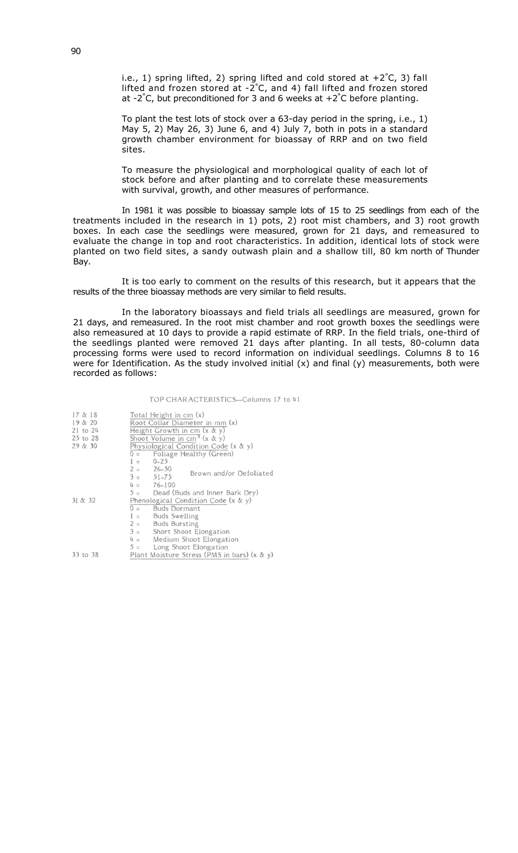i.e., 1) spring lifted, 2) spring lifted and cold stored at  $+2^{\circ}C$ , 3) fall lifted and frozen stored at -2° C, and 4) fall lifted and frozen stored at  $-2^{\circ}$ C, but preconditioned for 3 and 6 weeks at  $+2^{\circ}$ C before planting.

To plant the test lots of stock over a 63-day period in the spring, i.e., 1) May 5, 2) May 26, 3) June 6, and 4) July 7, both in pots in a standard growth chamber environment for bioassay of RRP and on two field sites.

To measure the physiological and morphological quality of each lot of stock before and after planting and to correlate these measurements with survival, growth, and other measures of performance.

In 1981 it was possible to bioassay sample lots of 15 to 25 seedlings from each of the treatments included in the research in 1) pots, 2) root mist chambers, and 3) root growth boxes. In each case the seedlings were measured, grown for 21 days, and remeasured to evaluate the change in top and root characteristics. In addition, identical lots of stock were planted on two field sites, a sandy outwash plain and a shallow till, 80 km north of Thunder Bay.

It is too early to comment on the results of this research, but it appears that the results of the three bioassay methods are very similar to field results.

In the laboratory bioassays and field trials all seedlings are measured, grown for 21 days, and remeasured. In the root mist chamber and root growth boxes the seedlings were also remeasured at 10 days to provide a rapid estimate of RRP. In the field trials, one-third of the seedlings planted were removed 21 days after planting. In all tests, 80-column data processing forms were used to record information on individual seedlings. Columns 8 to 16 were for Identification. As the study involved initial  $(x)$  and final  $(y)$  measurements, both were recorded as follows:

#### TOP CHAR ACTERISTICS--Columns 17 to 41

| 17 & 18<br>19 & 20<br>$21$ to $24$<br>25 to 28<br>29 & 30 | Total Height in cm (x)<br>Root Collar Diameter in mm (x)<br>Height Growth in cm $(x \& y)$<br>Shoot Volume in $cm^3$ (x & y)<br>Physiological Condition Code (x & y)<br>$0 =$ Foliage Healthy (Green) |                     |                                             |  |  |
|-----------------------------------------------------------|-------------------------------------------------------------------------------------------------------------------------------------------------------------------------------------------------------|---------------------|---------------------------------------------|--|--|
|                                                           | $1 = 0-25$                                                                                                                                                                                            |                     |                                             |  |  |
|                                                           | $2 = 26-50$<br>$3 = 51 - 75$                                                                                                                                                                          |                     | Brown and/or Defoliated                     |  |  |
|                                                           |                                                                                                                                                                                                       | $4 = 76 - 100$      |                                             |  |  |
|                                                           |                                                                                                                                                                                                       |                     | 5 = Dead (Buds and Inner Bark Dry)          |  |  |
| 31 & 32                                                   | Phenological Condition Code $(x & y)$                                                                                                                                                                 |                     |                                             |  |  |
|                                                           |                                                                                                                                                                                                       | $0 =$ Buds Dormant  |                                             |  |  |
|                                                           |                                                                                                                                                                                                       | $1 =$ Buds Swelling |                                             |  |  |
|                                                           | $2 =$ Buds Bursting                                                                                                                                                                                   |                     |                                             |  |  |
|                                                           | $3 =$ Short Shoot Elongation                                                                                                                                                                          |                     |                                             |  |  |
|                                                           | $4 =$ Medium Shoot Elongation                                                                                                                                                                         |                     |                                             |  |  |
|                                                           |                                                                                                                                                                                                       |                     | $5 =$ Long Shoot Elongation                 |  |  |
| 33 to 38                                                  |                                                                                                                                                                                                       |                     | Plant Moisture Stress (PMS in bars) (x & y) |  |  |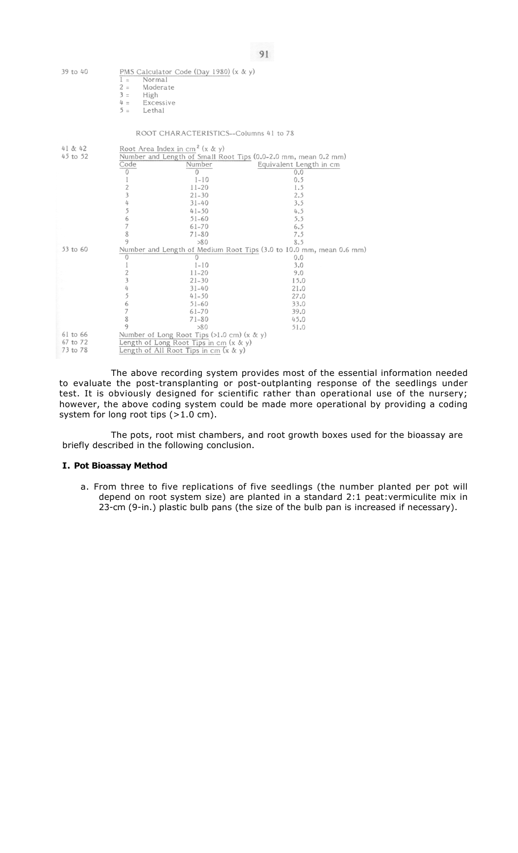| 39 to 40 | $1 =$<br>Normal<br>$2 =$<br>Moderate<br>$3 =$<br>High<br>Excessive<br>$4 =$<br>$5 =$<br>Lethal | PMS Calculator Code (Day 1980) (x & y)     |                         |  |  |
|----------|------------------------------------------------------------------------------------------------|--------------------------------------------|-------------------------|--|--|
|          |                                                                                                | ROOT CHARACTERISTICS--Columns 41 to 78     |                         |  |  |
| 41 & 42  |                                                                                                | Root Area Index in cm <sup>2</sup> (x & y) |                         |  |  |
| 45 to 52 | Number and Length of Small Root Tips (0.0-2.0 mm, mean 0.2 mm)                                 |                                            |                         |  |  |
|          | Code                                                                                           | Number                                     | Equivalent Length in cm |  |  |
|          | 0                                                                                              | $\Omega$                                   | 0.0                     |  |  |
|          |                                                                                                | $1 - 10$                                   | 0.5                     |  |  |
|          | $\overline{c}$                                                                                 | $11 - 20$                                  | 1.5                     |  |  |
|          | $\overline{\mathbf{3}}$                                                                        | $21 - 30$                                  | 2.5                     |  |  |
|          | 4                                                                                              | $31 - 40$                                  | 3.5                     |  |  |
|          | 5                                                                                              | $41 - 50$                                  | 4.5                     |  |  |
|          | 6                                                                                              | $51 - 60$                                  | 5.5                     |  |  |
|          | $\overline{7}$                                                                                 | $61 - 70$                                  | 6.5                     |  |  |
|          | 8                                                                                              | $71 - 80$                                  | 7.5                     |  |  |
|          | 9                                                                                              | >80                                        | 8.5                     |  |  |
| 53 to 60 | Number and Length of Medium Root Tips (3.0 to 10.0 mm, mean 0.6                                |                                            |                         |  |  |
|          | 0                                                                                              | O                                          | 0.0                     |  |  |
|          | 1                                                                                              | $1 - 10$                                   | 3.0                     |  |  |
|          | $\overline{2}$                                                                                 | $11 - 20$                                  | 9.0                     |  |  |
|          | 3                                                                                              | $21 - 30$                                  | 15.0                    |  |  |
|          | 4                                                                                              | $31 - 40$                                  | 21.0                    |  |  |
|          | 5                                                                                              | $41 - 50$                                  | 27.0                    |  |  |
|          | 6                                                                                              | $51 - 60$                                  | 33.0                    |  |  |
|          | $\overline{7}$                                                                                 | $61 - 70$                                  | 39.0                    |  |  |
|          | 8                                                                                              | $71 - 80$                                  | 45.0                    |  |  |
|          | 9                                                                                              | >80                                        | 51.0                    |  |  |
| 61 to 66 | Number of Long Root Tips (>1.0 cm) $(x & y)$                                                   |                                            |                         |  |  |
| 67 to 72 | Length of Long Root Tips in cm (x & y)                                                         |                                            |                         |  |  |
| 73 to 78 | Length of All Root Tips in cm (x & y)                                                          |                                            |                         |  |  |

The above recording system provides most of the essential information needed to evaluate the post-transplanting or post-outplanting response of the seedlings under test. It is obviously designed for scientific rather than operational use of the nursery; however, the above coding system could be made more operational by providing a coding system for long root tips (>1.0 cm).

mm)

91

The pots, root mist chambers, and root growth boxes used for the bioassay are briefly described in the following conclusion.

## **I. Pot Bioassay Method**

a. From three to five replications of five seedlings (the number planted per pot will depend on root system size) are planted in a standard 2:1 peat:vermiculite mix in 23-cm (9-in.) plastic bulb pans (the size of the bulb pan is increased if necessary).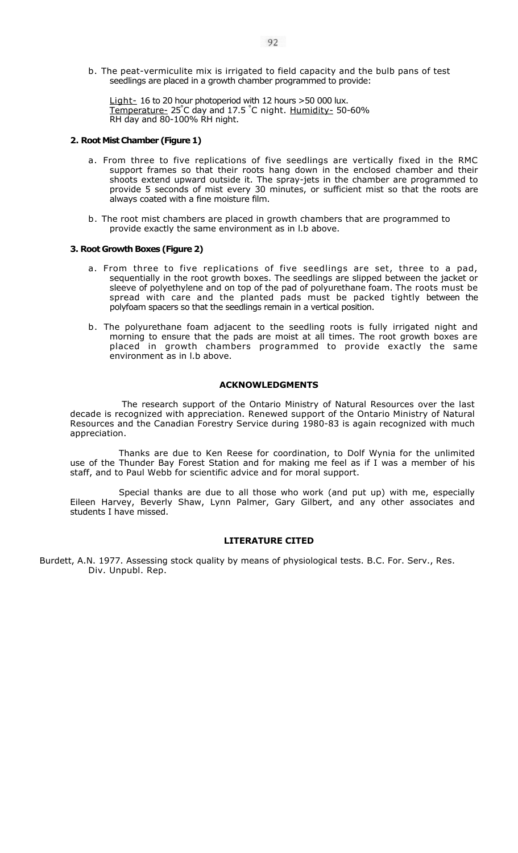b. The peat-vermiculite mix is irrigated to field capacity and the bulb pans of test seedlings are placed in a growth chamber programmed to provide:

Light- 16 to 20 hour photoperiod with 12 hours > 50 000 lux. Temperature- 25° C day and 17.5 ° C night. Humidity- 50-60% RH day and 80-100% RH night.

### **2. Root Mist Chamber (Figure 1)**

- a. From three to five replications of five seedlings are vertically fixed in the RMC support frames so that their roots hang down in the enclosed chamber and their shoots extend upward outside it. The spray-jets in the chamber are programmed to provide 5 seconds of mist every 30 minutes, or sufficient mist so that the roots are always coated with a fine moisture film.
- b. The root mist chambers are placed in growth chambers that are programmed to provide exactly the same environment as in l.b above.

### **3. Root Growth Boxes (Figure 2)**

- a. From three to five replications of five seedlings are set, three to a pad, sequentially in the root growth boxes. The seedlings are slipped between the jacket or sleeve of polyethylene and on top of the pad of polyurethane foam. The roots must be spread with care and the planted pads must be packed tightly between the polyfoam spacers so that the seedlings remain in a vertical position.
- b. The polyurethane foam adjacent to the seedling roots is fully irrigated night and morning to ensure that the pads are moist at all times. The root growth boxes are placed in growth chambers programmed to provide exactly the same environment as in l.b above.

### **ACKNOWLEDGMENTS**

The research support of the Ontario Ministry of Natural Resources over the last decade is recognized with appreciation. Renewed support of the Ontario Ministry of Natural Resources and the Canadian Forestry Service during 1980-83 is again recognized with much appreciation.

Thanks are due to Ken Reese for coordination, to Dolf Wynia for the unlimited use of the Thunder Bay Forest Station and for making me feel as if I was a member of his staff, and to Paul Webb for scientific advice and for moral support.

Special thanks are due to all those who work (and put up) with me, especially Eileen Harvey, Beverly Shaw, Lynn Palmer, Gary Gilbert, and any other associates and students I have missed.

### **LITERATURE CITED**

Burdett, A.N. 1977. Assessing stock quality by means of physiological tests. B.C. For. Serv., Res. Div. Unpubl. Rep.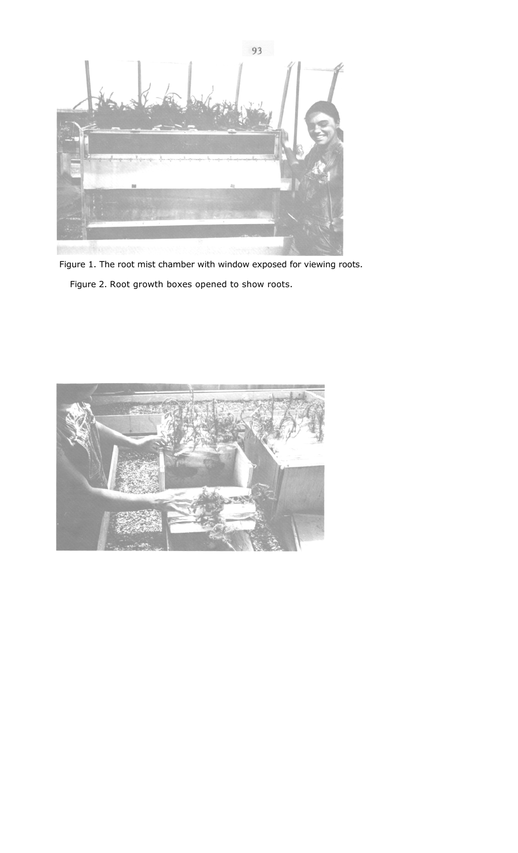

Figure 1. The root mist chamber with window exposed for viewing roots. Figure 2. Root growth boxes opened to show roots.

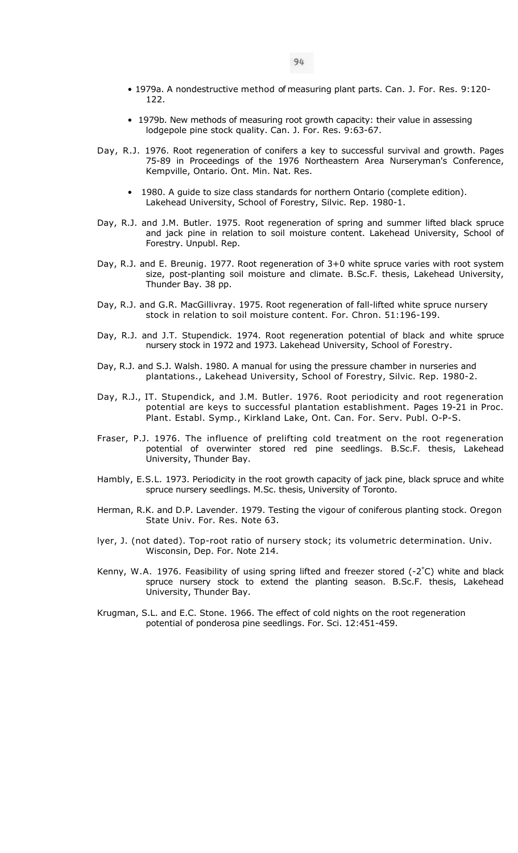- 1979a. A nondestructive method of measuring plant parts. Can. J. For. Res. 9:120- 122.
- 1979b. New methods of measuring root growth capacity: their value in assessing lodgepole pine stock quality. Can. J. For. Res. 9:63-67.
- Day, R.J. 1976. Root regeneration of conifers a key to successful survival and growth. Pages 75-89 in Proceedings of the 1976 Northeastern Area Nurseryman's Conference, Kempville, Ontario. Ont. Min. Nat. Res.
	- 1980. A guide to size class standards for northern Ontario (complete edition). Lakehead University, School of Forestry, Silvic. Rep. 1980-1.
- Day, R.J. and J.M. Butler. 1975. Root regeneration of spring and summer lifted black spruce and jack pine in relation to soil moisture content. Lakehead University, School of Forestry. Unpubl. Rep.
- Day, R.J. and E. Breunig. 1977. Root regeneration of 3+0 white spruce varies with root system size, post-planting soil moisture and climate. B.Sc.F. thesis, Lakehead University, Thunder Bay. 38 pp.
- Day, R.J. and G.R. MacGillivray. 1975. Root regeneration of fall-lifted white spruce nursery stock in relation to soil moisture content. For. Chron. 51:196-199.
- Day, R.J. and J.T. Stupendick. 1974. Root regeneration potential of black and white spruce nursery stock in 1972 and 1973. Lakehead University, School of Forestry.
- Day, R.J. and S.J. Walsh. 1980. A manual for using the pressure chamber in nurseries and plantations., Lakehead University, School of Forestry, Silvic. Rep. 1980-2.
- Day, R.J., IT. Stupendick, and J.M. Butler. 1976. Root periodicity and root regeneration potential are keys to successful plantation establishment. Pages 19-21 in Proc. Plant. Establ. Symp., Kirkland Lake, Ont. Can. For. Serv. Publ. O-P-S.
- Fraser, P.J. 1976. The influence of prelifting cold treatment on the root regeneration potential of overwinter stored red pine seedlings. B.Sc.F. thesis, Lakehead University, Thunder Bay.
- Hambly, E.S.L. 1973. Periodicity in the root growth capacity of jack pine, black spruce and white spruce nursery seedlings. M.Sc. thesis, University of Toronto.
- Herman, R.K. and D.P. Lavender. 1979. Testing the vigour of coniferous planting stock. Oregon State Univ. For. Res. Note 63.
- lyer, J. (not dated). Top-root ratio of nursery stock; its volumetric determination. Univ. Wisconsin, Dep. For. Note 214.
- Kenny, W.A. 1976. Feasibility of using spring lifted and freezer stored (-2 $^{\circ}$ C) white and black spruce nursery stock to extend the planting season. B.Sc.F. thesis, Lakehead University, Thunder Bay.
- Krugman, S.L. and E.C. Stone. 1966. The effect of cold nights on the root regeneration potential of ponderosa pine seedlings. For. Sci. 12:451-459.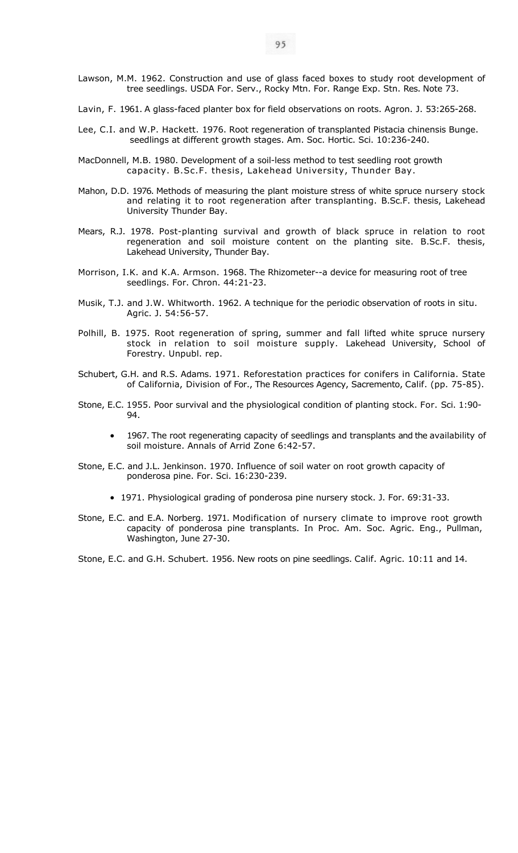- Lawson, M.M. 1962. Construction and use of glass faced boxes to study root development of tree seedlings. USDA For. Serv., Rocky Mtn. For. Range Exp. Stn. Res. Note 73.
- Lavin, F. 1961. A glass-faced planter box for field observations on roots. Agron. J. 53:265-268.
- Lee, C.I. and W.P. Hackett. 1976. Root regeneration of transplanted Pistacia chinensis Bunge. seedlings at different growth stages. Am. Soc. Hortic. Sci. 10:236-240.
- MacDonnell, M.B. 1980. Development of a soil-less method to test seedling root growth capacity. B.Sc.F. thesis, Lakehead University, Thunder Bay.
- Mahon, D.D. 1976. Methods of measuring the plant moisture stress of white spruce nursery stock and relating it to root regeneration after transplanting. B.Sc.F. thesis, Lakehead University Thunder Bay.
- Mears, R.J. 1978. Post-planting survival and growth of black spruce in relation to root regeneration and soil moisture content on the planting site. B.Sc.F. thesis, Lakehead University, Thunder Bay.
- Morrison, I.K. and K.A. Armson. 1968. The Rhizometer--a device for measuring root of tree seedlings. For. Chron. 44:21-23.
- Musik, T.J. and J.W. Whitworth. 1962. A technique for the periodic observation of roots in situ. Agric. J. 54:56-57.
- Polhill, B. 1975. Root regeneration of spring, summer and fall lifted white spruce nursery stock in relation to soil moisture supply. Lakehead University, School of Forestry. Unpubl. rep.
- Schubert, G.H. and R.S. Adams. 1971. Reforestation practices for conifers in California. State of California, Division of For., The Resources Agency, Sacremento, Calif. (pp. 75-85).
- Stone, E.C. 1955. Poor survival and the physiological condition of planting stock. For. Sci. 1:90- 94.
	- 1967. The root regenerating capacity of seedlings and transplants and the availability of soil moisture. Annals of Arrid Zone 6:42-57.
- Stone, E.C. and J.L. Jenkinson. 1970. Influence of soil water on root growth capacity of ponderosa pine. For. Sci. 16:230-239.
	- 1971. Physiological grading of ponderosa pine nursery stock. J. For. 69:31-33.
- Stone, E.C. and E.A. Norberg. 1971. Modification of nursery climate to improve root growth capacity of ponderosa pine transplants. In Proc. Am. Soc. Agric. Eng., Pullman, Washington, June 27-30.

Stone, E.C. and G.H. Schubert. 1956. New roots on pine seedlings. Calif. Agric. 10:11 and 14.